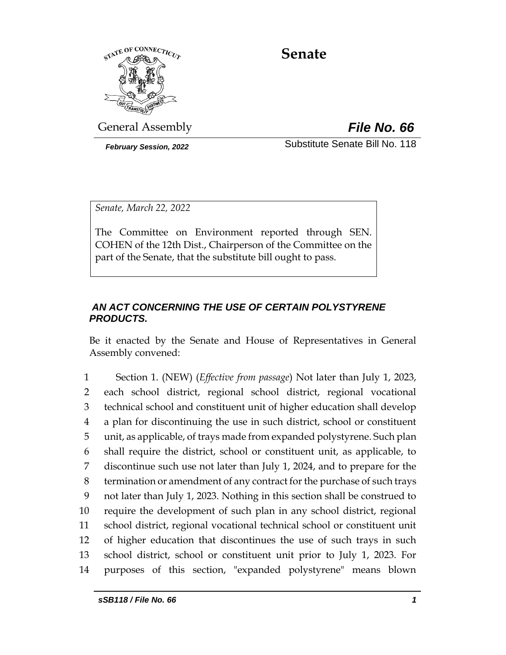

# **Senate**

General Assembly *File No. 66*

*February Session, 2022* Substitute Senate Bill No. 118

*Senate, March 22, 2022*

The Committee on Environment reported through SEN. COHEN of the 12th Dist., Chairperson of the Committee on the part of the Senate, that the substitute bill ought to pass.

## *AN ACT CONCERNING THE USE OF CERTAIN POLYSTYRENE PRODUCTS.*

Be it enacted by the Senate and House of Representatives in General Assembly convened:

 Section 1. (NEW) (*Effective from passage*) Not later than July 1, 2023, each school district, regional school district, regional vocational technical school and constituent unit of higher education shall develop a plan for discontinuing the use in such district, school or constituent unit, as applicable, of trays made from expanded polystyrene. Such plan shall require the district, school or constituent unit, as applicable, to discontinue such use not later than July 1, 2024, and to prepare for the termination or amendment of any contract for the purchase of such trays not later than July 1, 2023. Nothing in this section shall be construed to require the development of such plan in any school district, regional school district, regional vocational technical school or constituent unit of higher education that discontinues the use of such trays in such school district, school or constituent unit prior to July 1, 2023. For purposes of this section, "expanded polystyrene" means blown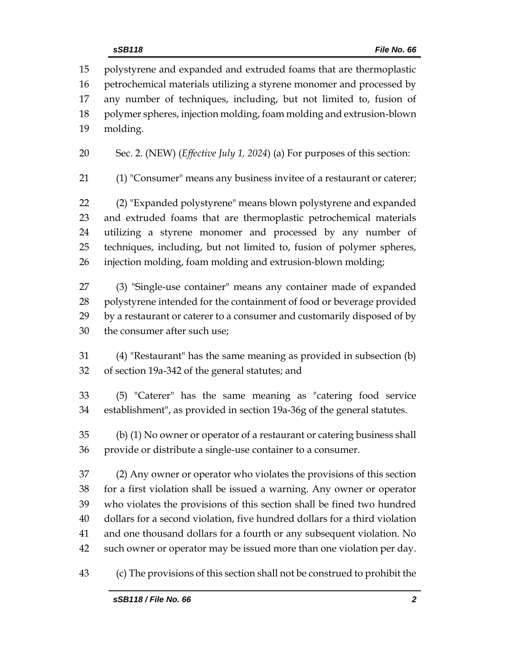polystyrene and expanded and extruded foams that are thermoplastic petrochemical materials utilizing a styrene monomer and processed by any number of techniques, including, but not limited to, fusion of polymer spheres, injection molding, foam molding and extrusion-blown molding.

Sec. 2. (NEW) (*Effective July 1, 2024*) (a) For purposes of this section:

(1) "Consumer" means any business invitee of a restaurant or caterer;

 (2) "Expanded polystyrene" means blown polystyrene and expanded and extruded foams that are thermoplastic petrochemical materials utilizing a styrene monomer and processed by any number of techniques, including, but not limited to, fusion of polymer spheres, injection molding, foam molding and extrusion-blown molding;

 (3) "Single-use container" means any container made of expanded polystyrene intended for the containment of food or beverage provided by a restaurant or caterer to a consumer and customarily disposed of by the consumer after such use;

 (4) "Restaurant" has the same meaning as provided in subsection (b) of section 19a-342 of the general statutes; and

 (5) "Caterer" has the same meaning as "catering food service establishment", as provided in section 19a-36g of the general statutes.

 (b) (1) No owner or operator of a restaurant or catering business shall provide or distribute a single-use container to a consumer.

 (2) Any owner or operator who violates the provisions of this section for a first violation shall be issued a warning. Any owner or operator who violates the provisions of this section shall be fined two hundred dollars for a second violation, five hundred dollars for a third violation and one thousand dollars for a fourth or any subsequent violation. No such owner or operator may be issued more than one violation per day.

(c) The provisions of this section shall not be construed to prohibit the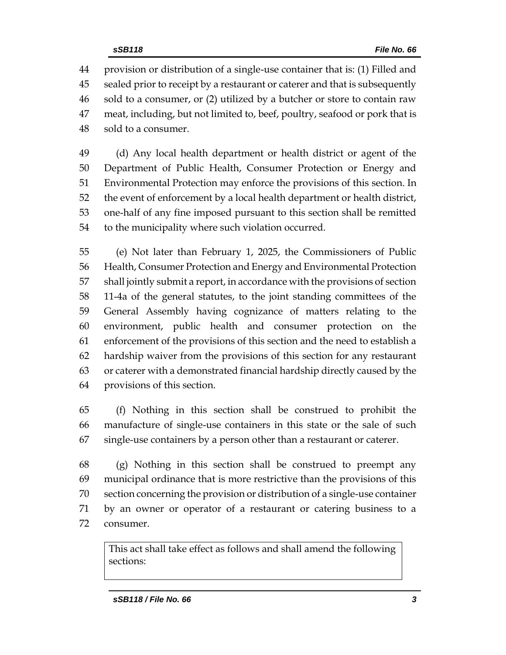provision or distribution of a single-use container that is: (1) Filled and sealed prior to receipt by a restaurant or caterer and that is subsequently sold to a consumer, or (2) utilized by a butcher or store to contain raw meat, including, but not limited to, beef, poultry, seafood or pork that is sold to a consumer.

 (d) Any local health department or health district or agent of the Department of Public Health, Consumer Protection or Energy and Environmental Protection may enforce the provisions of this section. In the event of enforcement by a local health department or health district, one-half of any fine imposed pursuant to this section shall be remitted to the municipality where such violation occurred.

 (e) Not later than February 1, 2025, the Commissioners of Public Health, Consumer Protection and Energy and Environmental Protection shall jointly submit a report, in accordance with the provisions of section 11-4a of the general statutes, to the joint standing committees of the General Assembly having cognizance of matters relating to the environment, public health and consumer protection on the enforcement of the provisions of this section and the need to establish a hardship waiver from the provisions of this section for any restaurant or caterer with a demonstrated financial hardship directly caused by the provisions of this section.

 (f) Nothing in this section shall be construed to prohibit the manufacture of single-use containers in this state or the sale of such single-use containers by a person other than a restaurant or caterer.

 (g) Nothing in this section shall be construed to preempt any municipal ordinance that is more restrictive than the provisions of this section concerning the provision or distribution of a single-use container by an owner or operator of a restaurant or catering business to a consumer.

This act shall take effect as follows and shall amend the following sections: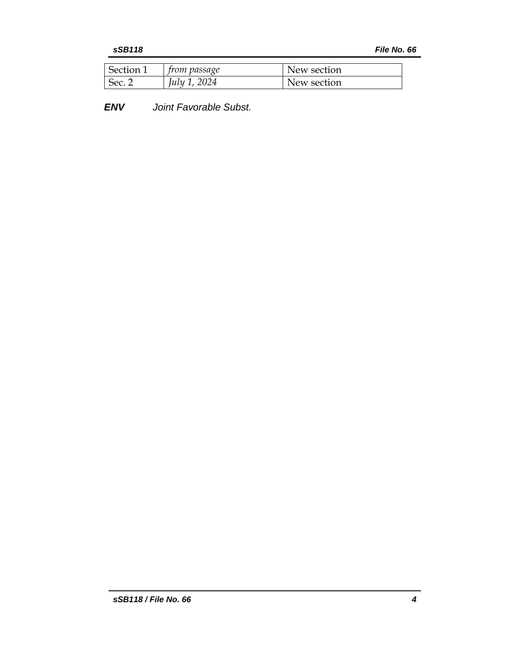| Section 1 | <i>trom passage</i> | New section |
|-----------|---------------------|-------------|
| Sec.      | July 1, 2024        | New section |

*ENV Joint Favorable Subst.*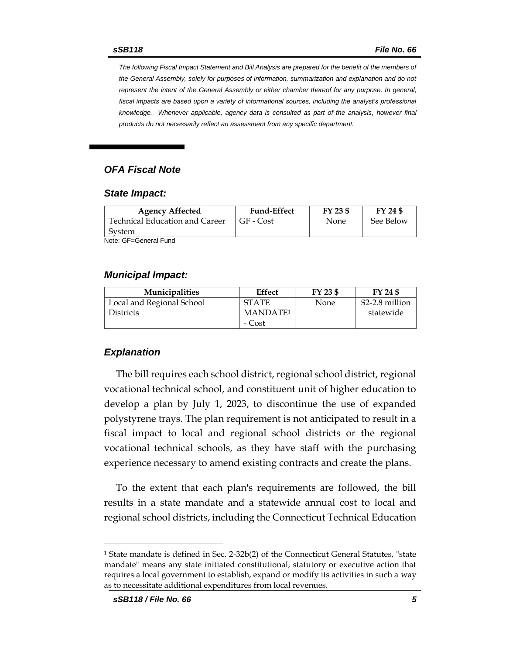*The following Fiscal Impact Statement and Bill Analysis are prepared for the benefit of the members of the General Assembly, solely for purposes of information, summarization and explanation and do not represent the intent of the General Assembly or either chamber thereof for any purpose. In general,*  fiscal impacts are based upon a variety of informational sources, including the analyst's professional *knowledge. Whenever applicable, agency data is consulted as part of the analysis, however final products do not necessarily reflect an assessment from any specific department.*

### *OFA Fiscal Note*

#### *State Impact:*

| <b>Agency Affected</b>         | <b>Fund-Effect</b> | FY 23 \$ | FY 24 \$  |
|--------------------------------|--------------------|----------|-----------|
| Technical Education and Career | GF - Cost          | None     | See Below |
| System                         |                    |          |           |
| Noto: CE-Conoral Eund          |                    |          |           |

Note: GF=General Fund

#### *Municipal Impact:*

| <b>Municipalities</b>     | Effect               | FY 23 \$ | FY 24 \$        |
|---------------------------|----------------------|----------|-----------------|
| Local and Regional School | <b>STATE</b>         | None     | \$2-2.8 million |
| <b>Districts</b>          | MANDATE <sup>1</sup> |          | statewide       |
|                           | - Cost               |          |                 |

#### *Explanation*

The bill requires each school district, regional school district, regional vocational technical school, and constituent unit of higher education to develop a plan by July 1, 2023, to discontinue the use of expanded polystyrene trays. The plan requirement is not anticipated to result in a fiscal impact to local and regional school districts or the regional vocational technical schools, as they have staff with the purchasing experience necessary to amend existing contracts and create the plans.

To the extent that each plan's requirements are followed, the bill results in a state mandate and a statewide annual cost to local and regional school districts, including the Connecticut Technical Education

<sup>&</sup>lt;sup>1</sup> State mandate is defined in Sec. 2-32b(2) of the Connecticut General Statutes, "state mandate" means any state initiated constitutional, statutory or executive action that requires a local government to establish, expand or modify its activities in such a way as to necessitate additional expenditures from local revenues.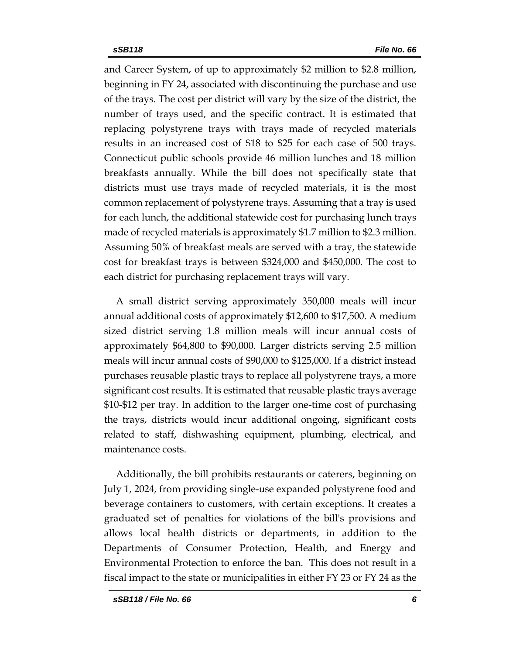and Career System, of up to approximately \$2 million to \$2.8 million, beginning in FY 24, associated with discontinuing the purchase and use of the trays. The cost per district will vary by the size of the district, the number of trays used, and the specific contract. It is estimated that replacing polystyrene trays with trays made of recycled materials results in an increased cost of \$18 to \$25 for each case of 500 trays. Connecticut public schools provide 46 million lunches and 18 million breakfasts annually. While the bill does not specifically state that districts must use trays made of recycled materials, it is the most common replacement of polystyrene trays. Assuming that a tray is used for each lunch, the additional statewide cost for purchasing lunch trays made of recycled materials is approximately \$1.7 million to \$2.3 million. Assuming 50% of breakfast meals are served with a tray, the statewide cost for breakfast trays is between \$324,000 and \$450,000. The cost to each district for purchasing replacement trays will vary.

A small district serving approximately 350,000 meals will incur annual additional costs of approximately \$12,600 to \$17,500. A medium sized district serving 1.8 million meals will incur annual costs of approximately \$64,800 to \$90,000. Larger districts serving 2.5 million meals will incur annual costs of \$90,000 to \$125,000. If a district instead purchases reusable plastic trays to replace all polystyrene trays, a more significant cost results. It is estimated that reusable plastic trays average \$10-\$12 per tray. In addition to the larger one-time cost of purchasing the trays, districts would incur additional ongoing, significant costs related to staff, dishwashing equipment, plumbing, electrical, and maintenance costs.

Additionally, the bill prohibits restaurants or caterers, beginning on July 1, 2024, from providing single-use expanded polystyrene food and beverage containers to customers, with certain exceptions. It creates a graduated set of penalties for violations of the bill's provisions and allows local health districts or departments, in addition to the Departments of Consumer Protection, Health, and Energy and Environmental Protection to enforce the ban. This does not result in a fiscal impact to the state or municipalities in either FY 23 or FY 24 as the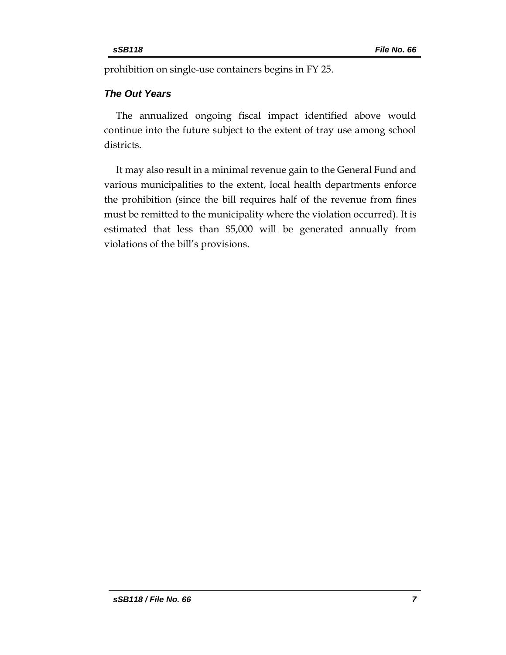prohibition on single-use containers begins in FY 25.

## *The Out Years*

The annualized ongoing fiscal impact identified above would continue into the future subject to the extent of tray use among school districts.

It may also result in a minimal revenue gain to the General Fund and various municipalities to the extent, local health departments enforce the prohibition (since the bill requires half of the revenue from fines must be remitted to the municipality where the violation occurred). It is estimated that less than \$5,000 will be generated annually from violations of the bill's provisions.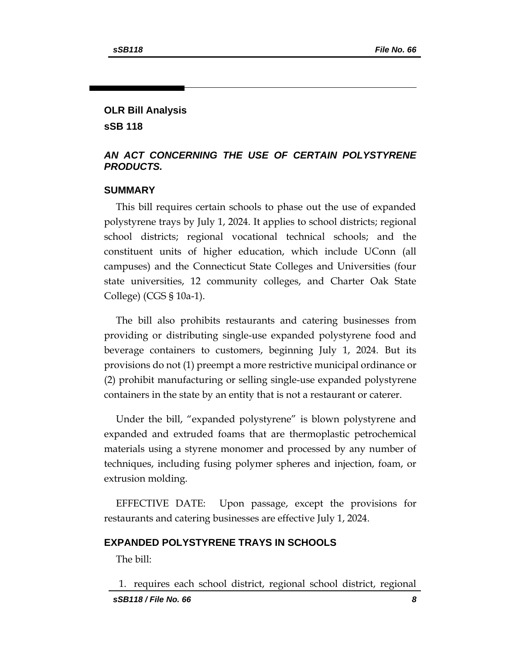## **OLR Bill Analysis sSB 118**

### *AN ACT CONCERNING THE USE OF CERTAIN POLYSTYRENE PRODUCTS.*

### **SUMMARY**

This bill requires certain schools to phase out the use of expanded polystyrene trays by July 1, 2024. It applies to school districts; regional school districts; regional vocational technical schools; and the constituent units of higher education, which include UConn (all campuses) and the Connecticut State Colleges and Universities (four state universities, 12 community colleges, and Charter Oak State College) (CGS § 10a-1).

The bill also prohibits restaurants and catering businesses from providing or distributing single-use expanded polystyrene food and beverage containers to customers, beginning July 1, 2024. But its provisions do not (1) preempt a more restrictive municipal ordinance or (2) prohibit manufacturing or selling single-use expanded polystyrene containers in the state by an entity that is not a restaurant or caterer.

Under the bill, "expanded polystyrene" is blown polystyrene and expanded and extruded foams that are thermoplastic petrochemical materials using a styrene monomer and processed by any number of techniques, including fusing polymer spheres and injection, foam, or extrusion molding.

EFFECTIVE DATE: Upon passage, except the provisions for restaurants and catering businesses are effective July 1, 2024.

#### **EXPANDED POLYSTYRENE TRAYS IN SCHOOLS**

The bill:

*sSB118 / File No. 66 8* 1. requires each school district, regional school district, regional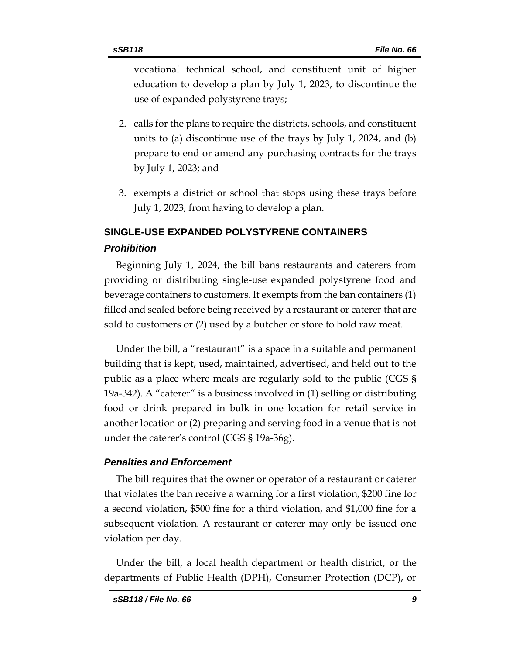vocational technical school, and constituent unit of higher education to develop a plan by July 1, 2023, to discontinue the use of expanded polystyrene trays;

- 2. calls for the plans to require the districts, schools, and constituent units to (a) discontinue use of the trays by July 1, 2024, and (b) prepare to end or amend any purchasing contracts for the trays by July 1, 2023; and
- 3. exempts a district or school that stops using these trays before July 1, 2023, from having to develop a plan.

## **SINGLE-USE EXPANDED POLYSTYRENE CONTAINERS** *Prohibition*

Beginning July 1, 2024, the bill bans restaurants and caterers from providing or distributing single-use expanded polystyrene food and beverage containers to customers. It exempts from the ban containers (1) filled and sealed before being received by a restaurant or caterer that are sold to customers or (2) used by a butcher or store to hold raw meat.

Under the bill, a "restaurant" is a space in a suitable and permanent building that is kept, used, maintained, advertised, and held out to the public as a place where meals are regularly sold to the public (CGS § 19a-342). A "caterer" is a business involved in (1) selling or distributing food or drink prepared in bulk in one location for retail service in another location or (2) preparing and serving food in a venue that is not under the caterer's control (CGS § 19a-36g).

### *Penalties and Enforcement*

The bill requires that the owner or operator of a restaurant or caterer that violates the ban receive a warning for a first violation, \$200 fine for a second violation, \$500 fine for a third violation, and \$1,000 fine for a subsequent violation. A restaurant or caterer may only be issued one violation per day.

Under the bill, a local health department or health district, or the departments of Public Health (DPH), Consumer Protection (DCP), or